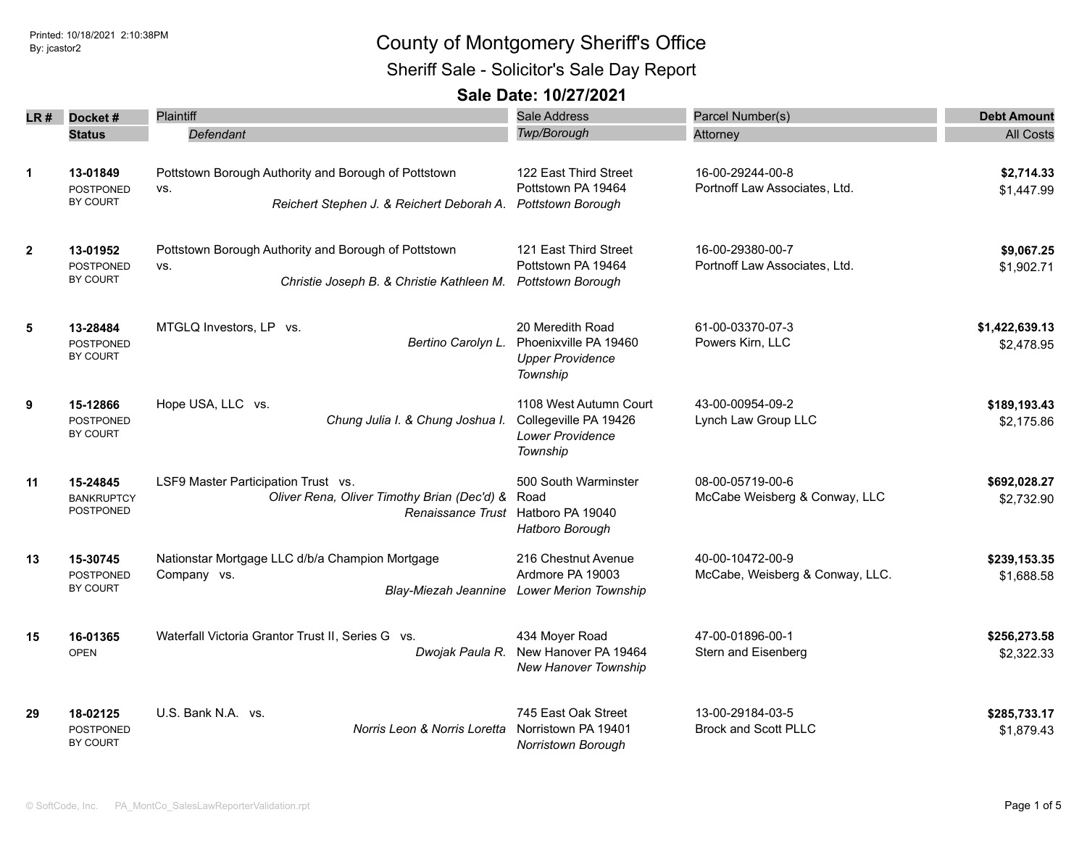### Printed: 10/18/2021 2:10:38PM **By: jcastor2** County of Montgomery Sheriff's Office Sheriff Sale - Solicitor's Sale Day Report

|                |                                            | <b>Plaintiff</b>                                                                                                         | <b>Sale Address</b>                                                                            | Parcel Number(s)                                  | <b>Debt Amount</b>         |
|----------------|--------------------------------------------|--------------------------------------------------------------------------------------------------------------------------|------------------------------------------------------------------------------------------------|---------------------------------------------------|----------------------------|
| LR #           | Docket#                                    |                                                                                                                          | <b>Twp/Borough</b>                                                                             |                                                   |                            |
|                | <b>Status</b>                              | Defendant                                                                                                                |                                                                                                | Attorney                                          | <b>All Costs</b>           |
| $\mathbf{1}$   | 13-01849<br><b>POSTPONED</b><br>BY COURT   | Pottstown Borough Authority and Borough of Pottstown<br>VS.                                                              | 122 East Third Street<br>Pottstown PA 19464                                                    | 16-00-29244-00-8<br>Portnoff Law Associates, Ltd. | \$2,714.33<br>\$1,447.99   |
|                |                                            | Reichert Stephen J. & Reichert Deborah A.                                                                                | Pottstown Borough                                                                              |                                                   |                            |
| $\overline{2}$ | 13-01952<br><b>POSTPONED</b><br>BY COURT   | Pottstown Borough Authority and Borough of Pottstown<br>VS.<br>Christie Joseph B. & Christie Kathleen M.                 | 121 East Third Street<br>Pottstown PA 19464<br><b>Pottstown Borough</b>                        | 16-00-29380-00-7<br>Portnoff Law Associates, Ltd. | \$9,067.25                 |
|                |                                            |                                                                                                                          |                                                                                                |                                                   | \$1,902.71                 |
| 5              | 13-28484                                   | MTGLQ Investors, LP vs.<br>Bertino Carolyn L.                                                                            | 20 Meredith Road                                                                               | 61-00-03370-07-3                                  | \$1,422,639.13             |
|                | <b>POSTPONED</b><br>BY COURT               |                                                                                                                          | Phoenixville PA 19460<br><b>Upper Providence</b><br>Township                                   | Powers Kirn, LLC                                  | \$2,478.95                 |
| 9              | 15-12866<br><b>POSTPONED</b>               | Hope USA, LLC vs.<br>Chung Julia I. & Chung Joshua I.                                                                    | 1108 West Autumn Court<br>Collegeville PA 19426                                                | 43-00-00954-09-2<br>Lynch Law Group LLC           | \$189,193.43<br>\$2,175.86 |
|                | <b>BY COURT</b>                            |                                                                                                                          | <b>Lower Providence</b><br>Township                                                            |                                                   |                            |
| 11             | 15-24845<br><b>BANKRUPTCY</b><br>POSTPONED | LSF9 Master Participation Trust vs.<br>Oliver Rena, Oliver Timothy Brian (Dec'd) &<br>Renaissance Trust Hatboro PA 19040 | 500 South Warminster<br>Road                                                                   | 08-00-05719-00-6<br>McCabe Weisberg & Conway, LLC | \$692,028.27<br>\$2,732.90 |
|                |                                            |                                                                                                                          | Hatboro Borough                                                                                |                                                   |                            |
| 13             | 15-30745<br><b>POSTPONED</b>               | Nationstar Mortgage LLC d/b/a Champion Mortgage<br>Company vs.                                                           | 216 Chestnut Avenue<br>40-00-10472-00-9<br>Ardmore PA 19003<br>McCabe, Weisberg & Conway, LLC. |                                                   | \$239,153.35               |
|                | BY COURT                                   | <b>Blay-Miezah Jeannine</b>                                                                                              | <b>Lower Merion Township</b>                                                                   |                                                   | \$1,688.58                 |
| 15             | 16-01365                                   | Waterfall Victoria Grantor Trust II, Series G vs.                                                                        | 434 Moyer Road                                                                                 | 47-00-01896-00-1                                  | \$256,273.58               |
|                | <b>OPEN</b>                                | Dwojak Paula R.                                                                                                          | New Hanover PA 19464<br>New Hanover Township                                                   | Stern and Eisenberg                               | \$2,322.33                 |
| 29             | 18-02125                                   | U.S. Bank N.A. vs.                                                                                                       | 745 East Oak Street                                                                            | 13-00-29184-03-5                                  | \$285,733.17               |
|                | <b>POSTPONED</b><br>BY COURT               | Norris Leon & Norris Loretta                                                                                             | Norristown PA 19401<br>Norristown Borough                                                      | <b>Brock and Scott PLLC</b>                       | \$1,879.43                 |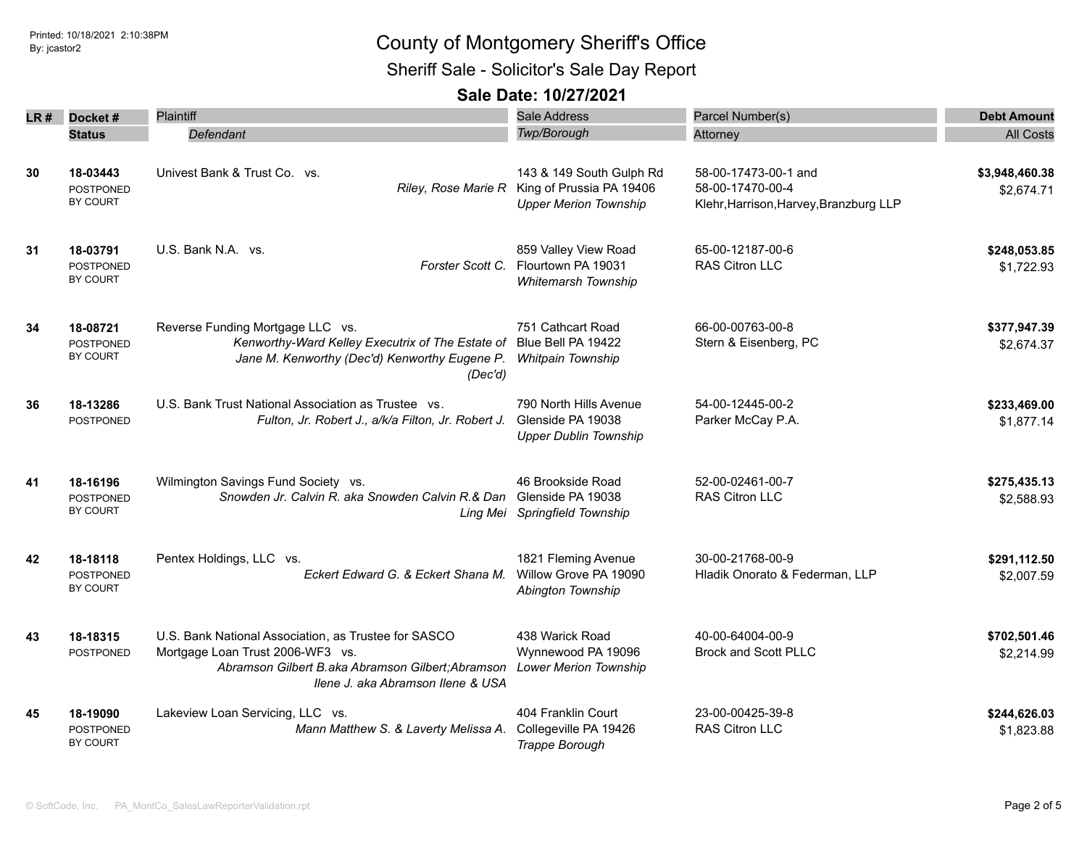Sheriff Sale - Solicitor's Sale Day Report

| LR # | Docket#                                  | Plaintiff                                                                                                                                                                          | <b>Sale Address</b>                                                                                      | Parcel Number(s)                                                                   | <b>Debt Amount</b>           |
|------|------------------------------------------|------------------------------------------------------------------------------------------------------------------------------------------------------------------------------------|----------------------------------------------------------------------------------------------------------|------------------------------------------------------------------------------------|------------------------------|
|      | <b>Status</b>                            | Defendant                                                                                                                                                                          | Twp/Borough                                                                                              | Attorney                                                                           | <b>All Costs</b>             |
| 30   | 18-03443<br><b>POSTPONED</b><br>BY COURT | Univest Bank & Trust Co. vs.                                                                                                                                                       | 143 & 149 South Gulph Rd<br>Riley, Rose Marie R King of Prussia PA 19406<br><b>Upper Merion Township</b> | 58-00-17473-00-1 and<br>58-00-17470-00-4<br>Klehr, Harrison, Harvey, Branzburg LLP | \$3,948,460.38<br>\$2,674.71 |
| 31   | 18-03791<br><b>POSTPONED</b><br>BY COURT | U.S. Bank N.A. vs.<br>Forster Scott C.                                                                                                                                             | 859 Valley View Road<br>Flourtown PA 19031<br>Whitemarsh Township                                        | 65-00-12187-00-6<br><b>RAS Citron LLC</b>                                          | \$248,053.85<br>\$1,722.93   |
| 34   | 18-08721<br><b>POSTPONED</b><br>BY COURT | Reverse Funding Mortgage LLC vs.<br>Kenworthy-Ward Kelley Executrix of The Estate of Blue Bell PA 19422<br>Jane M. Kenworthy (Dec'd) Kenworthy Eugene P.<br>(Dec'd)                | 751 Cathcart Road<br>Whitpain Township                                                                   | 66-00-00763-00-8<br>Stern & Eisenberg, PC                                          | \$377,947.39<br>\$2,674.37   |
| 36   | 18-13286<br><b>POSTPONED</b>             | U.S. Bank Trust National Association as Trustee vs.<br>Fulton, Jr. Robert J., a/k/a Filton, Jr. Robert J.                                                                          | 790 North Hills Avenue<br>Glenside PA 19038<br><b>Upper Dublin Township</b>                              | 54-00-12445-00-2<br>Parker McCay P.A.                                              | \$233,469.00<br>\$1,877.14   |
| 41   | 18-16196<br>POSTPONED<br>BY COURT        | Wilmington Savings Fund Society vs.<br>Snowden Jr. Calvin R. aka Snowden Calvin R.& Dan                                                                                            | 46 Brookside Road<br>Glenside PA 19038<br>Ling Mei Springfield Township                                  | 52-00-02461-00-7<br>RAS Citron LLC                                                 | \$275,435.13<br>\$2,588.93   |
| 42   | 18-18118<br><b>POSTPONED</b><br>BY COURT | Pentex Holdings, LLC vs.<br>Eckert Edward G. & Eckert Shana M.                                                                                                                     | 1821 Fleming Avenue<br>Willow Grove PA 19090<br>Abington Township                                        | 30-00-21768-00-9<br>Hladik Onorato & Federman, LLP                                 | \$291,112.50<br>\$2,007.59   |
| 43   | 18-18315<br>POSTPONED                    | U.S. Bank National Association, as Trustee for SASCO<br>Mortgage Loan Trust 2006-WF3 vs.<br>Abramson Gilbert B.aka Abramson Gilbert; Abramson<br>Ilene J. aka Abramson Ilene & USA | 438 Warick Road<br>Wynnewood PA 19096<br><b>Lower Merion Township</b>                                    | 40-00-64004-00-9<br><b>Brock and Scott PLLC</b>                                    | \$702,501.46<br>\$2,214.99   |
| 45   | 18-19090<br><b>POSTPONED</b><br>BY COURT | Lakeview Loan Servicing, LLC vs.<br>Mann Matthew S. & Laverty Melissa A.                                                                                                           | 404 Franklin Court<br>Collegeville PA 19426<br>Trappe Borough                                            | 23-00-00425-39-8<br><b>RAS Citron LLC</b>                                          | \$244,626.03<br>\$1,823.88   |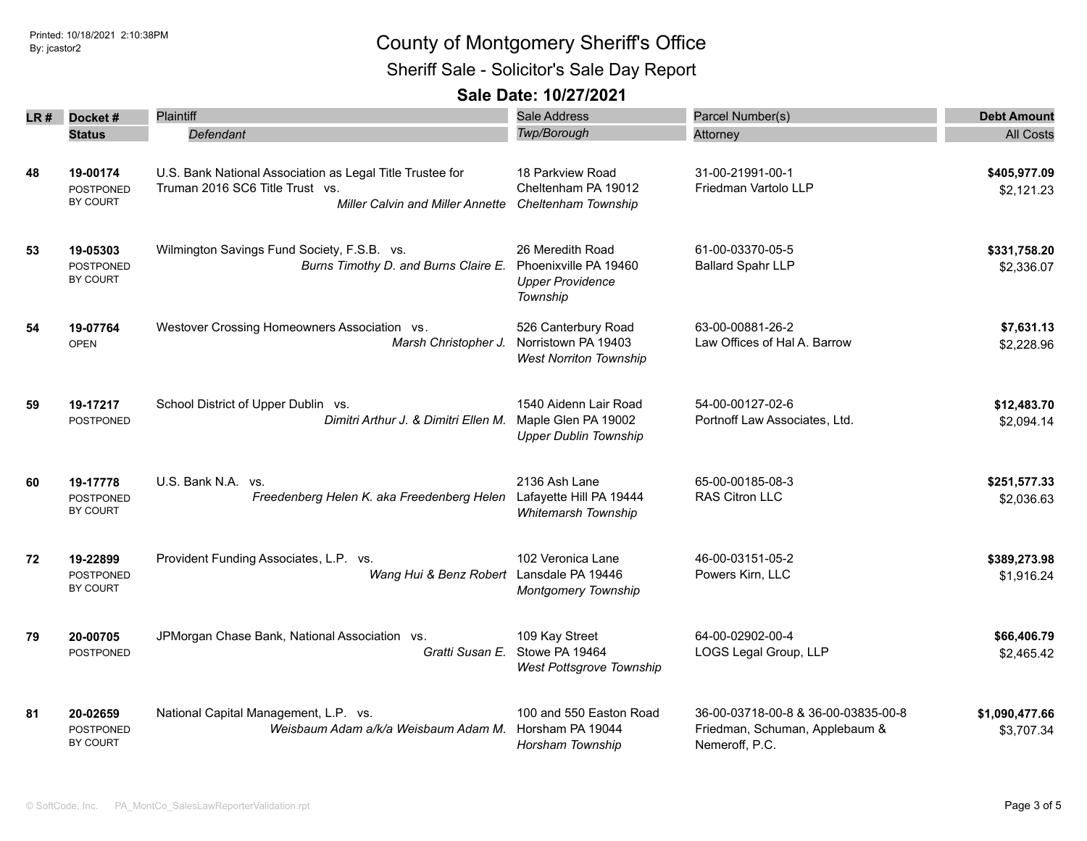Sheriff Sale - Solicitor's Sale Day Report

| LR # | Docket#                                  | <b>Plaintiff</b>                                                                                                                        | <b>Sale Address</b>                                                              | Parcel Number(s)                                                                        | <b>Debt Amount</b>           |
|------|------------------------------------------|-----------------------------------------------------------------------------------------------------------------------------------------|----------------------------------------------------------------------------------|-----------------------------------------------------------------------------------------|------------------------------|
|      | <b>Status</b>                            | Defendant                                                                                                                               | <b>Twp/Borough</b>                                                               | Attorney                                                                                | <b>All Costs</b>             |
| 48   | 19-00174<br><b>POSTPONED</b><br>BY COURT | U.S. Bank National Association as Legal Title Trustee for<br>Truman 2016 SC6 Title Trust vs.<br><b>Miller Calvin and Miller Annette</b> | 18 Parkview Road<br>Cheltenham PA 19012<br>Cheltenham Township                   | 31-00-21991-00-1<br>Friedman Vartolo LLP                                                | \$405,977.09<br>\$2,121.23   |
| 53   | 19-05303<br><b>POSTPONED</b><br>BY COURT | Wilmington Savings Fund Society, F.S.B. vs.<br>Burns Timothy D. and Burns Claire E.                                                     | 26 Meredith Road<br>Phoenixville PA 19460<br><b>Upper Providence</b><br>Township | 61-00-03370-05-5<br><b>Ballard Spahr LLP</b>                                            | \$331,758.20<br>\$2,336.07   |
| 54   | 19-07764<br><b>OPEN</b>                  | Westover Crossing Homeowners Association vs.<br>Marsh Christopher J.                                                                    | 526 Canterbury Road<br>Norristown PA 19403<br><b>West Norriton Township</b>      | 63-00-00881-26-2<br>Law Offices of Hal A. Barrow                                        | \$7,631.13<br>\$2,228.96     |
| 59   | 19-17217<br><b>POSTPONED</b>             | School District of Upper Dublin vs.<br>Dimitri Arthur J. & Dimitri Ellen M.                                                             | 1540 Aidenn Lair Road<br>Maple Glen PA 19002<br><b>Upper Dublin Township</b>     | 54-00-00127-02-6<br>Portnoff Law Associates, Ltd.                                       | \$12,483.70<br>\$2,094.14    |
| 60   | 19-17778<br><b>POSTPONED</b><br>BY COURT | U.S. Bank N.A. vs.<br>Freedenberg Helen K. aka Freedenberg Helen                                                                        | 2136 Ash Lane<br>Lafayette Hill PA 19444<br>Whitemarsh Township                  | 65-00-00185-08-3<br>RAS Citron LLC                                                      | \$251,577.33<br>\$2,036.63   |
| 72   | 19-22899<br><b>POSTPONED</b><br>BY COURT | Provident Funding Associates, L.P. vs.<br>Wang Hui & Benz Robert                                                                        | 102 Veronica Lane<br>Lansdale PA 19446<br><b>Montgomery Township</b>             | 46-00-03151-05-2<br>Powers Kirn, LLC                                                    | \$389,273.98<br>\$1,916.24   |
| 79   | 20-00705<br>POSTPONED                    | JPMorgan Chase Bank, National Association vs.<br>Gratti Susan E.                                                                        | 109 Kay Street<br>Stowe PA 19464<br>West Pottsgrove Township                     | 64-00-02902-00-4<br>LOGS Legal Group, LLP                                               | \$66,406.79<br>\$2,465.42    |
| 81   | 20-02659<br><b>POSTPONED</b><br>BY COURT | National Capital Management, L.P. vs.<br>Weisbaum Adam a/k/a Weisbaum Adam M.                                                           | 100 and 550 Easton Road<br>Horsham PA 19044<br>Horsham Township                  | 36-00-03718-00-8 & 36-00-03835-00-8<br>Friedman, Schuman, Applebaum &<br>Nemeroff, P.C. | \$1,090,477.66<br>\$3,707.34 |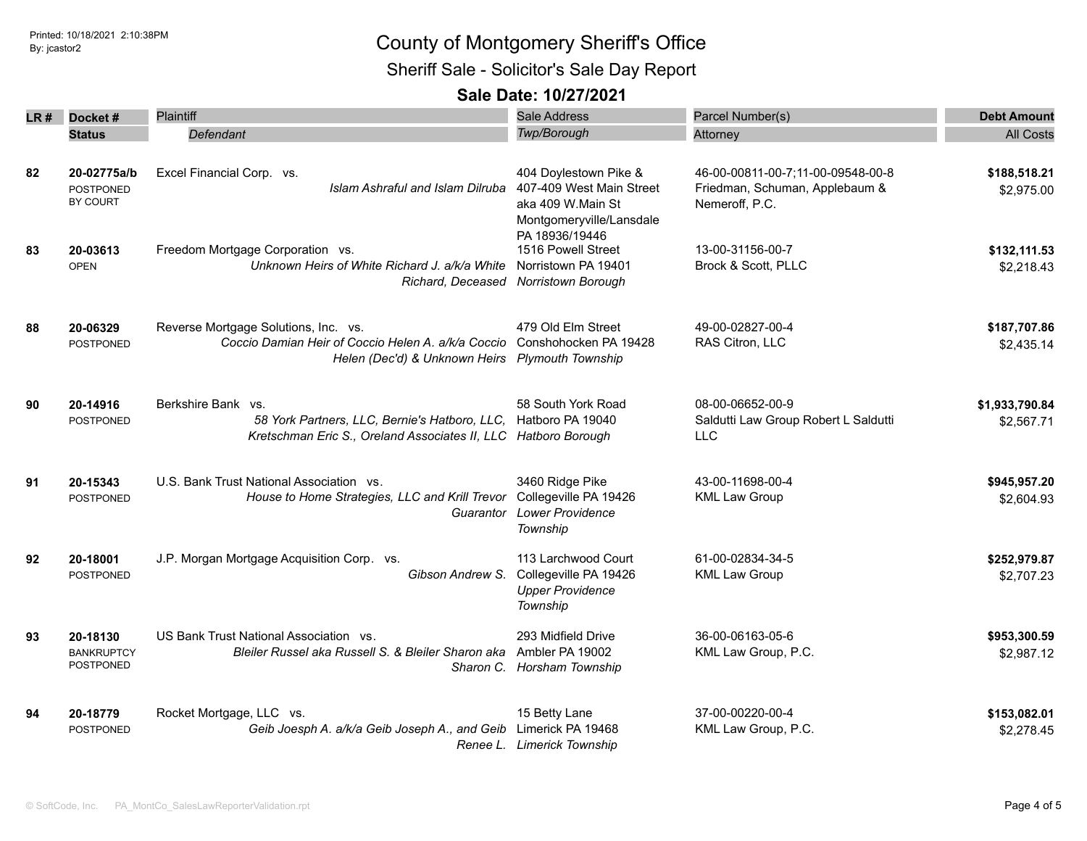Sheriff Sale - Solicitor's Sale Day Report

| LR # | Docket#                                     | Plaintiff                                                                                                                                                           | <b>Sale Address</b>                                                                                 | Parcel Number(s)                                                                      | <b>Debt Amount</b>           |
|------|---------------------------------------------|---------------------------------------------------------------------------------------------------------------------------------------------------------------------|-----------------------------------------------------------------------------------------------------|---------------------------------------------------------------------------------------|------------------------------|
|      | <b>Status</b>                               | Defendant                                                                                                                                                           | <b>Twp/Borough</b>                                                                                  | Attorney                                                                              | <b>All Costs</b>             |
| 82   | 20-02775a/b<br><b>POSTPONED</b><br>BY COURT | Excel Financial Corp. vs.<br>Islam Ashraful and Islam Dilruba                                                                                                       | 404 Doylestown Pike &<br>407-409 West Main Street<br>aka 409 W.Main St<br>Montgomeryville/Lansdale  | 46-00-00811-00-7;11-00-09548-00-8<br>Friedman, Schuman, Applebaum &<br>Nemeroff, P.C. | \$188,518.21<br>\$2,975.00   |
| 83   | 20-03613<br><b>OPEN</b>                     | Freedom Mortgage Corporation vs.<br>Unknown Heirs of White Richard J. a/k/a White                                                                                   | PA 18936/19446<br>1516 Powell Street<br>Norristown PA 19401<br>Richard, Deceased Norristown Borough | 13-00-31156-00-7<br>Brock & Scott, PLLC                                               | \$132,111.53<br>\$2,218.43   |
| 88   | 20-06329<br><b>POSTPONED</b>                | Reverse Mortgage Solutions, Inc. vs.<br>Coccio Damian Heir of Coccio Helen A. a/k/a Coccio Conshohocken PA 19428<br>Helen (Dec'd) & Unknown Heirs Plymouth Township | 479 Old Elm Street                                                                                  | 49-00-02827-00-4<br>RAS Citron, LLC                                                   | \$187,707.86<br>\$2,435.14   |
| 90   | 20-14916<br>POSTPONED                       | Berkshire Bank vs.<br>58 York Partners, LLC, Bernie's Hatboro, LLC, Hatboro PA 19040<br>Kretschman Eric S., Oreland Associates II, LLC Hatboro Borough              | 58 South York Road                                                                                  | 08-00-06652-00-9<br>Saldutti Law Group Robert L Saldutti<br><b>LLC</b>                | \$1,933,790.84<br>\$2,567.71 |
| 91   | 20-15343<br><b>POSTPONED</b>                | U.S. Bank Trust National Association vs.<br>House to Home Strategies, LLC and Krill Trevor<br>Guarantor                                                             | 3460 Ridge Pike<br>Collegeville PA 19426<br><b>Lower Providence</b><br>Township                     | 43-00-11698-00-4<br><b>KML Law Group</b>                                              | \$945,957.20<br>\$2,604.93   |
| 92   | 20-18001<br><b>POSTPONED</b>                | J.P. Morgan Mortgage Acquisition Corp. vs.<br>Gibson Andrew S.                                                                                                      | 113 Larchwood Court<br>Collegeville PA 19426<br><b>Upper Providence</b><br>Township                 | 61-00-02834-34-5<br><b>KML Law Group</b>                                              | \$252,979.87<br>\$2,707.23   |
| 93   | 20-18130<br><b>BANKRUPTCY</b><br>POSTPONED  | US Bank Trust National Association vs.<br>Bleiler Russel aka Russell S. & Bleiler Sharon aka                                                                        | 293 Midfield Drive<br>Ambler PA 19002<br>Sharon C. Horsham Township                                 | 36-00-06163-05-6<br>KML Law Group, P.C.                                               | \$953,300.59<br>\$2,987.12   |
| 94   | 20-18779<br>POSTPONED                       | Rocket Mortgage, LLC vs.<br>Geib Joesph A. a/k/a Geib Joseph A., and Geib                                                                                           | 15 Betty Lane<br>Limerick PA 19468<br>Renee L. Limerick Township                                    | 37-00-00220-00-4<br>KML Law Group, P.C.                                               | \$153,082.01<br>\$2,278.45   |